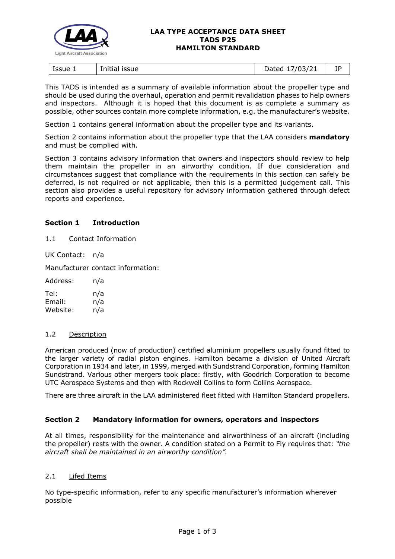

#### **LAA TYPE ACCEPTANCE DATA SHEET TADS P25 HAMILTON STANDARD**

| Issue 1<br>issue<br>Initial | 703/21<br>hatar<br>puccu<br>$\overline{\phantom{a}}$ | טו |
|-----------------------------|------------------------------------------------------|----|
|-----------------------------|------------------------------------------------------|----|

This TADS is intended as a summary of available information about the propeller type and should be used during the overhaul, operation and permit revalidation phases to help owners and inspectors. Although it is hoped that this document is as complete a summary as possible, other sources contain more complete information, e.g. the manufacturer's website.

Section 1 contains general information about the propeller type and its variants.

Section 2 contains information about the propeller type that the LAA considers **mandatory** and must be complied with.

Section 3 contains advisory information that owners and inspectors should review to help them maintain the propeller in an airworthy condition. If due consideration and circumstances suggest that compliance with the requirements in this section can safely be deferred, is not required or not applicable, then this is a permitted judgement call. This section also provides a useful repository for advisory information gathered through defect reports and experience.

# **Section 1 Introduction**

### 1.1 Contact Information

UK Contact: n/a

Manufacturer contact information:

| Address: | n/a |
|----------|-----|
| Tel:     | n/a |
| Email:   | n/a |
| Website: | n/a |

## 1.2 Description

American produced (now of production) certified aluminium propellers usually found fitted to the larger variety of radial piston engines. Hamilton became a division of United Aircraft Corporation in 1934 and later, in 1999, merged with Sundstrand Corporation, forming Hamilton Sundstrand. Various other mergers took place: firstly, with Goodrich Corporation to become UTC Aerospace Systems and then with Rockwell Collins to form Collins Aerospace.

There are three aircraft in the LAA administered fleet fitted with Hamilton Standard propellers.

## **Section 2 Mandatory information for owners, operators and inspectors**

At all times, responsibility for the maintenance and airworthiness of an aircraft (including the propeller) rests with the owner. A condition stated on a Permit to Fly requires that: *"the aircraft shall be maintained in an airworthy condition".* 

## 2.1 Lifed Items

No type-specific information, refer to any specific manufacturer's information wherever possible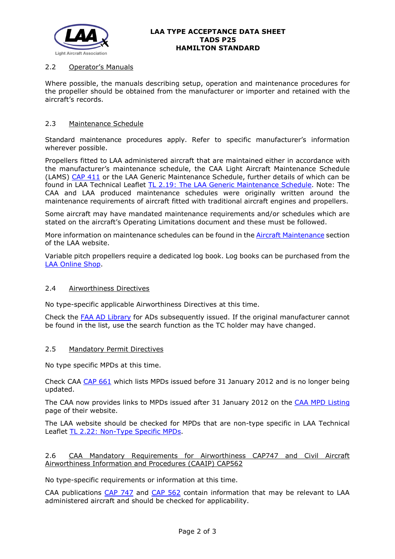

# 2.2 Operator's Manuals

Where possible, the manuals describing setup, operation and maintenance procedures for the propeller should be obtained from the manufacturer or importer and retained with the aircraft's records.

## 2.3 Maintenance Schedule

Standard maintenance procedures apply. Refer to specific manufacturer's information wherever possible.

Propellers fitted to LAA administered aircraft that are maintained either in accordance with the manufacturer's maintenance schedule, the CAA Light Aircraft Maintenance Schedule (LAMS) [CAP 411](http://www.caa.co.uk/CAP411) or the LAA Generic Maintenance Schedule, further details of which can be found in LAA Technical Leaflet [TL 2.19: The LAA Generic Maintenance Schedule.](http://www.lightaircraftassociation.co.uk/engineering/TechnicalLeaflets/Operating%20An%20Aircraft/TL%202.19%20The%20LAA%20Generic%20Maintenance%20Schedule.pdf) Note: The CAA and LAA produced maintenance schedules were originally written around the maintenance requirements of aircraft fitted with traditional aircraft engines and propellers.

Some aircraft may have mandated maintenance requirements and/or schedules which are stated on the aircraft's Operating Limitations document and these must be followed.

More information on maintenance schedules can be found in the **Aircraft Maintenance** section of the LAA website.

Variable pitch propellers require a dedicated log book. Log books can be purchased from the [LAA Online Shop.](https://services.lightaircraftassociation.co.uk/catalog/265)

## 2.4 Airworthiness Directives

No type-specific applicable Airworthiness Directives at this time.

Check the [FAA AD Library](https://rgl.faa.gov/Regulatory_and_Guidance_Library/rgAD.nsf/Frameset?OpenPage) for ADs subsequently issued. If the original manufacturer cannot be found in the list, use the search function as the TC holder may have changed.

#### 2.5 Mandatory Permit Directives

No type specific MPDs at this time.

Check CAA [CAP 661](http://www.caa.co.uk/cap661) which lists MPDs issued before 31 January 2012 and is no longer being updated.

The CAA now provides links to MPDs issued after 31 January 2012 on the [CAA MPD Listing](http://publicapps.caa.co.uk/modalapplication.aspx?appid=11&mode=list&type=sercat&id=55) page of their website.

The LAA website should be checked for MPDs that are non-type specific in LAA Technical Leaflet [TL 2.22: Non-Type Specific MPDs.](http://www.lightaircraftassociation.co.uk/engineering/TechnicalLeaflets/Operating%20An%20Aircraft/TL%202.22%20non-type%20specific%20MPDs.pdf)

# 2.6 CAA Mandatory Requirements for Airworthiness CAP747 and Civil Aircraft Airworthiness Information and Procedures (CAAIP) CAP562

No type-specific requirements or information at this time.

CAA publications [CAP 747](http://www.caa.co.uk/CAP747) and [CAP 562](http://www.caa.co.uk/CAP562) contain information that may be relevant to LAA administered aircraft and should be checked for applicability.